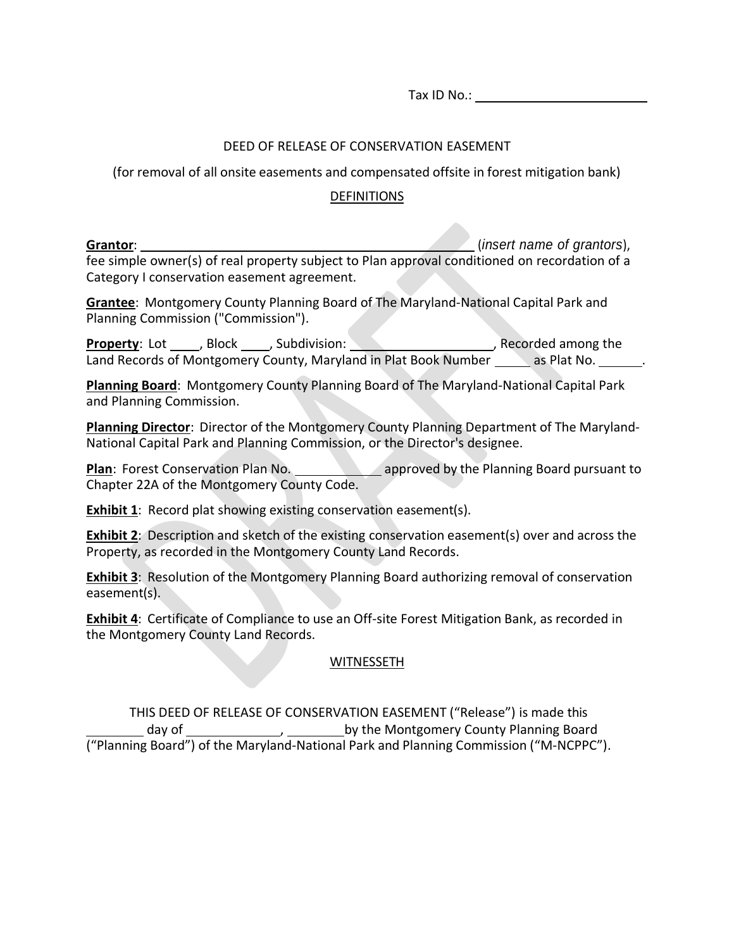Tax ID No.:

### DEED OF RELEASE OF CONSERVATION EASEMENT

(for removal of all onsite easements and compensated offsite in forest mitigation bank)

#### DEFINITIONS

**Grantor**: (*insert name of grantors*), fee simple owner(s) of real property subject to Plan approval conditioned on recordation of a Category I conservation easement agreement.

**Grantee**: Montgomery County Planning Board of The Maryland-National Capital Park and Planning Commission ("Commission").

**Property**: Lot \_\_\_\_\_, Block \_\_\_\_\_, Subdivision: \_\_\_\_\_\_\_\_\_\_\_\_\_\_\_\_\_\_\_\_\_, Recorded among the Land Records of Montgomery County, Maryland in Plat Book Number and Plat No. 2006.

**Planning Board**: Montgomery County Planning Board of The Maryland-National Capital Park and Planning Commission.

**Planning Director**: Director of the Montgomery County Planning Department of The Maryland-National Capital Park and Planning Commission, or the Director's designee.

**Plan**: Forest Conservation Plan No. **All approved by the Planning Board pursuant to** Chapter 22A of the Montgomery County Code.

**Exhibit 1**: Record plat showing existing conservation easement(s).

**Exhibit 2**: Description and sketch of the existing conservation easement(s) over and across the Property, as recorded in the Montgomery County Land Records.

**Exhibit 3**: Resolution of the Montgomery Planning Board authorizing removal of conservation easement(s).

**Exhibit 4**: Certificate of Compliance to use an Off-site Forest Mitigation Bank, as recorded in the Montgomery County Land Records.

# WITNESSETH

THIS DEED OF RELEASE OF CONSERVATION EASEMENT ("Release") is made this day of  $\frac{1}{\sqrt{2}}$  , by the Montgomery County Planning Board ("Planning Board") of the Maryland-National Park and Planning Commission ("M-NCPPC").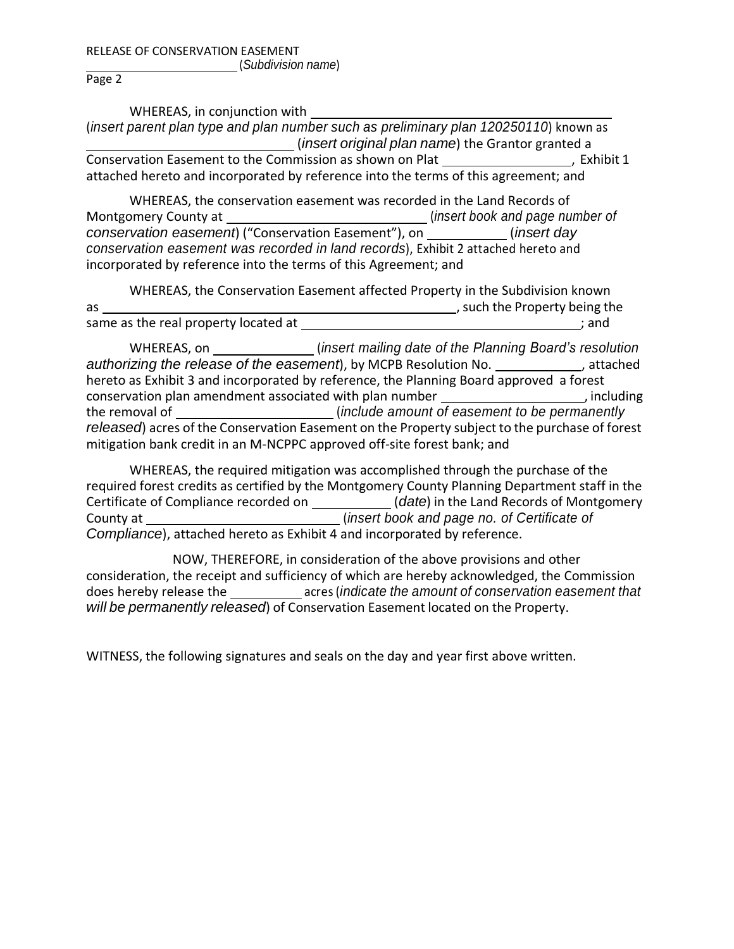Page 2

WHEREAS, in conjunction with (*insert parent plan type and plan number such as preliminary plan 120250110*) known as (*insert original plan name*) the Grantor granted a Conservation Easement to the Commission as shown on Plat , Exhibit 1

attached hereto and incorporated by reference into the terms of this agreement; and WHEREAS, the conservation easement was recorded in the Land Records of Montgomery County at (*insert book and page number of* 

*conservation easement*) ("Conservation Easement"), on \_\_\_\_\_\_\_\_\_\_\_\_ (*insert day conservation easement was recorded in land records*), Exhibit 2 attached hereto and incorporated by reference into the terms of this Agreement; and

WHEREAS, the Conservation Easement affected Property in the Subdivision known as ,such the Property being the same as the real property located at  $\overline{\phantom{a}}$  ; and

WHEREAS, on (*insert mailing date of the Planning Board's resolution authorizing the release of the easement*), by MCPB Resolution No. , attached hereto as Exhibit 3 and incorporated by reference, the Planning Board approved a forest conservation plan amendment associated with plan number  $\sim$  , including the removal of (*include amount of easement to be permanently released*) acres of the Conservation Easement on the Property subject to the purchase of forest mitigation bank credit in an M-NCPPC approved off-site forest bank; and

WHEREAS, the required mitigation was accomplished through the purchase of the required forest credits as certified by the Montgomery County Planning Department staff in the Certificate of Compliance recorded on (*date*) in the Land Records of Montgomery County at (*insert book and page no. of Certificate of Compliance*), attached hereto as Exhibit 4 and incorporated by reference.

NOW, THEREFORE, in consideration of the above provisions and other consideration, the receipt and sufficiency of which are hereby acknowledged, the Commission does hereby release the **conservation** acres (indicate the amount of conservation easement that *will be permanently released*) of Conservation Easement located on the Property.

WITNESS, the following signatures and seals on the day and year first above written.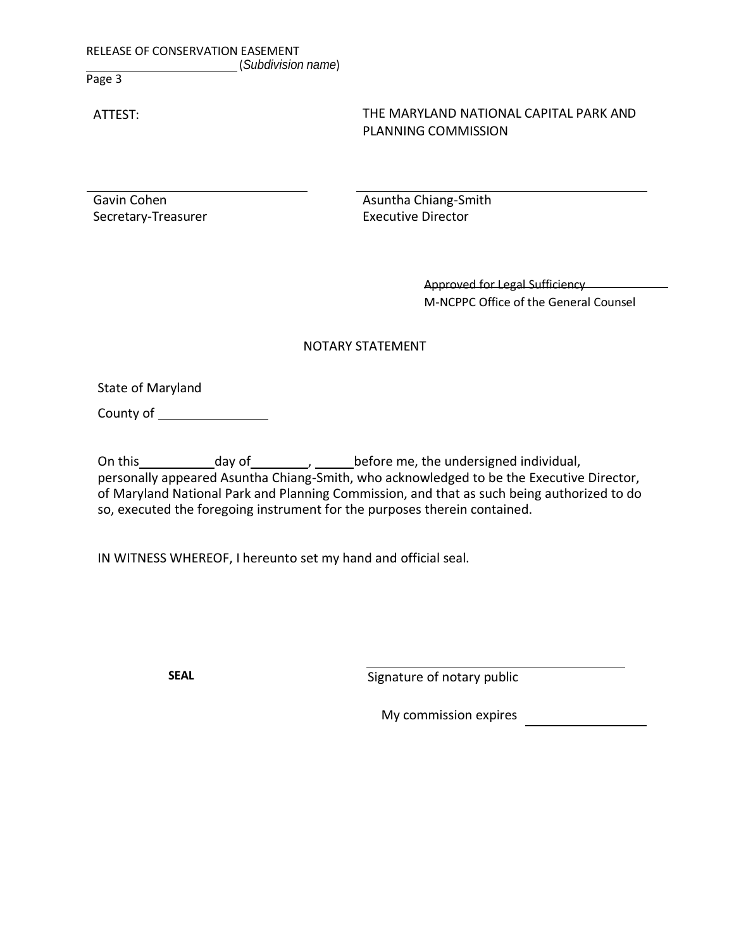Page 3

# ATTEST: THE MARYLAND NATIONAL CAPITAL PARK AND PLANNING COMMISSION

Gavin Cohen Secretary-Treasurer Asuntha Chiang-Smith Executive Director

> Approved for Legal Sufficiency M-NCPPC Office of the General Counsel

# NOTARY STATEMENT

State of Maryland

County of

On this day of , before me, the undersigned individual, personally appeared Asuntha Chiang-Smith, who acknowledged to be the Executive Director, of Maryland National Park and Planning Commission, and that as such being authorized to do so, executed the foregoing instrument for the purposes therein contained.

IN WITNESS WHEREOF, I hereunto set my hand and official seal.

**SEAL** Signature of notary public

My commission expires